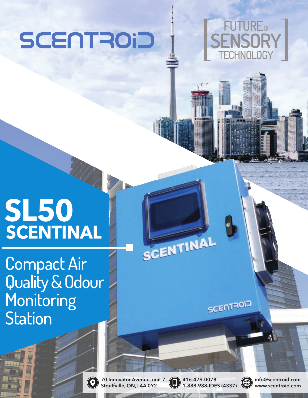# SCENTROID



# **SL50 SCENTINAL**

Compact Air Quality & Odour **Monitoring Station** 

> 70 Innovator Avenue, unit 7 Stouffville, ON, L4A 0Y2

 $\left( \textcolor{blue}{\bullet} \right)$ 

416-479-0078 1-888-988-IDES (4337)

SCENTINAL

**SCENTROID** 

ങ∰

info@scentroid.com www.scentroid.com